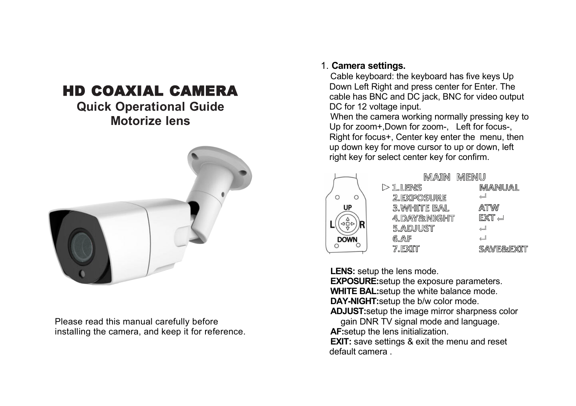# HD COAXIAL CAMERA

# **Quick Operational Guide Motorize lens**



Please read this manual carefully before installing the camera, and keep it for reference.

#### 1. **Camera settings.**

Cable keyboard: the keyboard has five keys Up Down Left Right and press center for Enter. The cable has BNC and DC jack, BNC for video output DC for 12 voltage input.

When the camera working normally pressing key to Up for zoom+,Down for zoom-, Left for focus-, Right for focus+, Center key enter the menu, then up down key for move cursor to up or down, left right key for select center key for confirm.



**LENS:** setup the lens mode.

**EXPOSURE:**setup the exposure parameters. **WHITE BAL:**setup the white balance mode.

**DAY-NIGHT:**setup the b/w color mode.

**ADJUST:**setup the image mirror sharpness color

gain DNR TV signal mode and language. **AF:**setup the lens initialization.

**EXIT:** save settings & exit the menu and reset default camera .